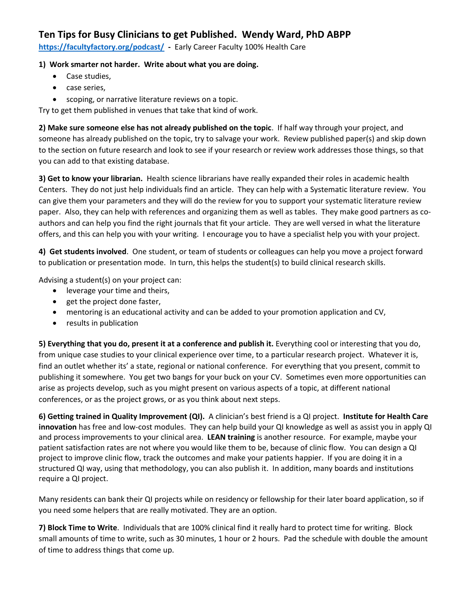## **Ten Tips for Busy Clinicians to get Published. Wendy Ward, PhD ABPP**

**<https://facultyfactory.org/podcast/> -** Early Career Faculty 100% Health Care

## **1) Work smarter not harder. Write about what you are doing.**

- Case studies,
- case series,
- scoping, or narrative literature reviews on a topic.

Try to get them published in venues that take that kind of work.

**2) Make sure someone else has not already published on the topic**. If half way through your project, and someone has already published on the topic, try to salvage your work. Review published paper(s) and skip down to the section on future research and look to see if your research or review work addresses those things, so that you can add to that existing database.

**3) Get to know your librarian.** Health science librarians have really expanded their roles in academic health Centers. They do not just help individuals find an article. They can help with a Systematic literature review. You can give them your parameters and they will do the review for you to support your systematic literature review paper. Also, they can help with references and organizing them as well as tables. They make good partners as coauthors and can help you find the right journals that fit your article. They are well versed in what the literature offers, and this can help you with your writing. I encourage you to have a specialist help you with your project.

**4) Get students involved**. One student, or team of students or colleagues can help you move a project forward to publication or presentation mode. In turn, this helps the student(s) to build clinical research skills.

Advising a student(s) on your project can:

- leverage your time and theirs,
- get the project done faster,
- mentoring is an educational activity and can be added to your promotion application and CV,
- results in publication

**5) Everything that you do, present it at a conference and publish it.** Everything cool or interesting that you do, from unique case studies to your clinical experience over time, to a particular research project. Whatever it is, find an outlet whether its' a state, regional or national conference. For everything that you present, commit to publishing it somewhere. You get two bangs for your buck on your CV. Sometimes even more opportunities can arise as projects develop, such as you might present on various aspects of a topic, at different national conferences, or as the project grows, or as you think about next steps.

**6) Getting trained in Quality Improvement (QI).** A clinician's best friend is a QI project. **Institute for Health Care innovation** has free and low-cost modules. They can help build your QI knowledge as well as assist you in apply QI and process improvements to your clinical area. **LEAN training** is another resource. For example, maybe your patient satisfaction rates are not where you would like them to be, because of clinic flow. You can design a QI project to improve clinic flow, track the outcomes and make your patients happier. If you are doing it in a structured QI way, using that methodology, you can also publish it. In addition, many boards and institutions require a QI project.

Many residents can bank their QI projects while on residency or fellowship for their later board application, so if you need some helpers that are really motivated. They are an option.

**7) Block Time to Write**. Individuals that are 100% clinical find it really hard to protect time for writing. Block small amounts of time to write, such as 30 minutes, 1 hour or 2 hours. Pad the schedule with double the amount of time to address things that come up.